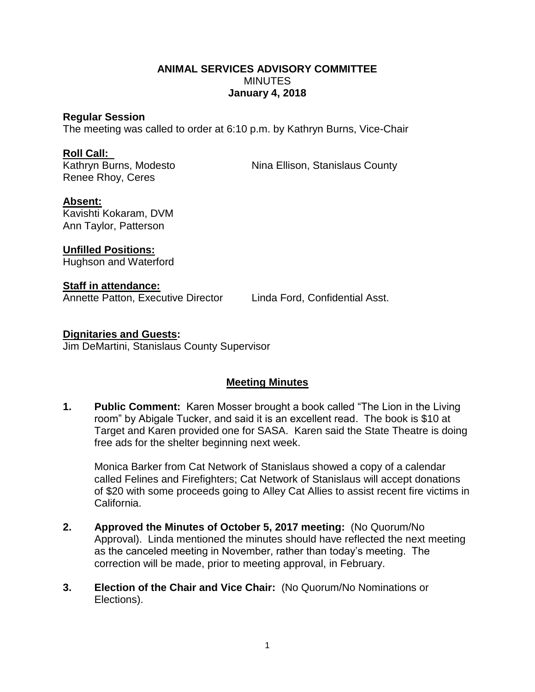## **ANIMAL SERVICES ADVISORY COMMITTEE MINUTES January 4, 2018**

#### **Regular Session**

The meeting was called to order at 6:10 p.m. by Kathryn Burns, Vice-Chair

#### **Roll Call:**

Renee Rhoy, Ceres

Kathryn Burns, Modesto Nina Ellison, Stanislaus County

## **Absent:**

Kavishti Kokaram, DVM Ann Taylor, Patterson

**Unfilled Positions:** Hughson and Waterford

**Staff in attendance:**

Annette Patton, Executive Director Linda Ford, Confidential Asst.

## **Dignitaries and Guests:**

Jim DeMartini, Stanislaus County Supervisor

# **Meeting Minutes**

**1. Public Comment:** Karen Mosser brought a book called "The Lion in the Living room" by Abigale Tucker, and said it is an excellent read. The book is \$10 at Target and Karen provided one for SASA. Karen said the State Theatre is doing free ads for the shelter beginning next week.

Monica Barker from Cat Network of Stanislaus showed a copy of a calendar called Felines and Firefighters; Cat Network of Stanislaus will accept donations of \$20 with some proceeds going to Alley Cat Allies to assist recent fire victims in California.

- **2. Approved the Minutes of October 5, 2017 meeting:** (No Quorum/No Approval). Linda mentioned the minutes should have reflected the next meeting as the canceled meeting in November, rather than today's meeting. The correction will be made, prior to meeting approval, in February.
- **3. Election of the Chair and Vice Chair:** (No Quorum/No Nominations or Elections).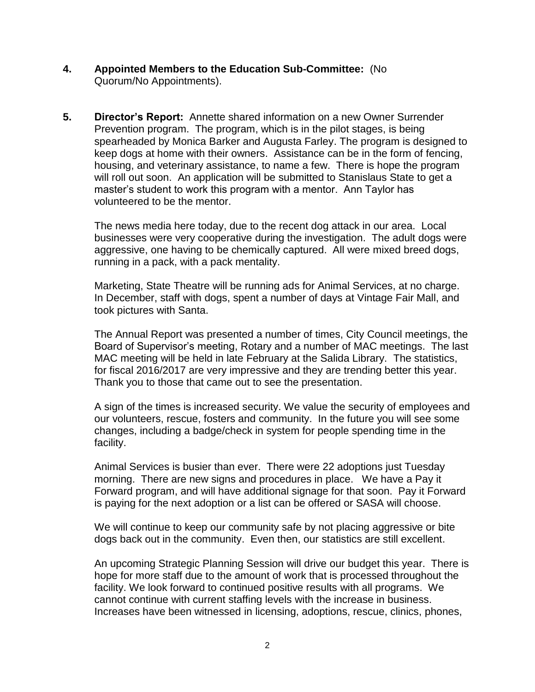- **4. Appointed Members to the Education Sub-Committee:** (No Quorum/No Appointments).
- **5. Director's Report:** Annette shared information on a new Owner Surrender Prevention program. The program, which is in the pilot stages, is being spearheaded by Monica Barker and Augusta Farley. The program is designed to keep dogs at home with their owners. Assistance can be in the form of fencing, housing, and veterinary assistance, to name a few. There is hope the program will roll out soon. An application will be submitted to Stanislaus State to get a master's student to work this program with a mentor. Ann Taylor has volunteered to be the mentor.

The news media here today, due to the recent dog attack in our area. Local businesses were very cooperative during the investigation. The adult dogs were aggressive, one having to be chemically captured. All were mixed breed dogs, running in a pack, with a pack mentality.

Marketing, State Theatre will be running ads for Animal Services, at no charge. In December, staff with dogs, spent a number of days at Vintage Fair Mall, and took pictures with Santa.

The Annual Report was presented a number of times, City Council meetings, the Board of Supervisor's meeting, Rotary and a number of MAC meetings. The last MAC meeting will be held in late February at the Salida Library. The statistics, for fiscal 2016/2017 are very impressive and they are trending better this year. Thank you to those that came out to see the presentation.

A sign of the times is increased security. We value the security of employees and our volunteers, rescue, fosters and community. In the future you will see some changes, including a badge/check in system for people spending time in the facility.

Animal Services is busier than ever. There were 22 adoptions just Tuesday morning. There are new signs and procedures in place. We have a Pay it Forward program, and will have additional signage for that soon. Pay it Forward is paying for the next adoption or a list can be offered or SASA will choose.

We will continue to keep our community safe by not placing aggressive or bite dogs back out in the community. Even then, our statistics are still excellent.

An upcoming Strategic Planning Session will drive our budget this year. There is hope for more staff due to the amount of work that is processed throughout the facility. We look forward to continued positive results with all programs. We cannot continue with current staffing levels with the increase in business. Increases have been witnessed in licensing, adoptions, rescue, clinics, phones,